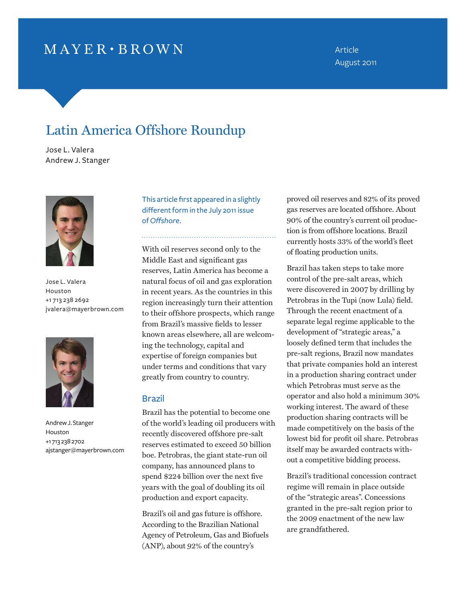# $MAYER \cdot BROWN$

Article August 2011

# Latin America Offshore Roundup

Jose L. Valera Andrew J. Stanger



Jose L. Valera Houston +1 713 238 2692 jvalera@mayerbrown.com



Andrew J. Stanger Houston +1 713 238 2702 ajstanger@mayerbrown.com

This article first appeared in a slightly different form in the July 2011 issue of *Offshore*.

With oil reserves second only to the Middle East and significant gas reserves, Latin America has become a natural focus of oil and gas exploration in recent years. As the countries in this region increasingly turn their attention to their offshore prospects, which range from Brazil's massive fields to lesser known areas elsewhere, all are welcoming the technology, capital and expertise of foreign companies but under terms and conditions that vary greatly from country to country.

## Brazil

Brazil has the potential to become one of the world's leading oil producers with recently discovered offshore pre-salt reserves estimated to exceed 50 billion boe. Petrobras, the giant state-run oil company, has announced plans to spend \$224 billion over the next five years with the goal of doubling its oil production and export capacity.

Brazil's oil and gas future is offshore. According to the Brazilian National Agency of Petroleum, Gas and Biofuels (ANP), about 92% of the country's

proved oil reserves and 82% of its proved gas reserves are located offshore. About 90% of the country's current oil production is from offshore locations. Brazil currently hosts 33% of the world's fleet of floating production units.

Brazil has taken steps to take more control of the pre-salt areas, which were discovered in 2007 by drilling by Petrobras in the Tupi (now Lula) field. Through the recent enactment of a separate legal regime applicable to the development of "strategic areas," a loosely defined term that includes the pre-salt regions, Brazil now mandates that private companies hold an interest in a production sharing contract under which Petrobras must serve as the operator and also hold a minimum 30% working interest. The award of these production sharing contracts will be made competitively on the basis of the lowest bid for profit oil share. Petrobras itself may be awarded contracts without a competitive bidding process.

Brazil's traditional concession contract regime will remain in place outside of the "strategic areas". Concessions granted in the pre-salt region prior to the 2009 enactment of the new law are grandfathered.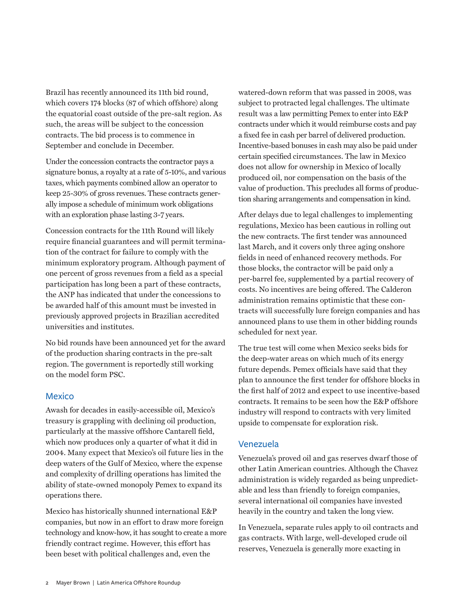Brazil has recently announced its 11th bid round, which covers 174 blocks (87 of which offshore) along the equatorial coast outside of the pre-salt region. As such, the areas will be subject to the concession contracts. The bid process is to commence in September and conclude in December.

Under the concession contracts the contractor pays a signature bonus, a royalty at a rate of 5-10%, and various taxes, which payments combined allow an operator to keep 25-30% of gross revenues. These contracts generally impose a schedule of minimum work obligations with an exploration phase lasting 3-7 years.

Concession contracts for the 11th Round will likely require financial guarantees and will permit termination of the contract for failure to comply with the minimum exploratory program. Although payment of one percent of gross revenues from a field as a special participation has long been a part of these contracts, the ANP has indicated that under the concessions to be awarded half of this amount must be invested in previously approved projects in Brazilian accredited universities and institutes.

No bid rounds have been announced yet for the award of the production sharing contracts in the pre-salt region. The government is reportedly still working on the model form PSC.

### Mexico

Awash for decades in easily-accessible oil, Mexico's treasury is grappling with declining oil production, particularly at the massive offshore Cantarell field, which now produces only a quarter of what it did in 2004. Many expect that Mexico's oil future lies in the deep waters of the Gulf of Mexico, where the expense and complexity of drilling operations has limited the ability of state-owned monopoly Pemex to expand its operations there.

Mexico has historically shunned international E&P companies, but now in an effort to draw more foreign technology and know-how, it has sought to create a more friendly contract regime. However, this effort has been beset with political challenges and, even the

watered-down reform that was passed in 2008, was subject to protracted legal challenges. The ultimate result was a law permitting Pemex to enter into E&P contracts under which it would reimburse costs and pay a fixed fee in cash per barrel of delivered production. Incentive-based bonuses in cash may also be paid under certain specified circumstances. The law in Mexico does not allow for ownership in Mexico of locally produced oil, nor compensation on the basis of the value of production. This precludes all forms of production sharing arrangements and compensation in kind.

After delays due to legal challenges to implementing regulations, Mexico has been cautious in rolling out the new contracts. The first tender was announced last March, and it covers only three aging onshore fields in need of enhanced recovery methods. For those blocks, the contractor will be paid only a per-barrel fee, supplemented by a partial recovery of costs. No incentives are being offered. The Calderon administration remains optimistic that these contracts will successfully lure foreign companies and has announced plans to use them in other bidding rounds scheduled for next year.

The true test will come when Mexico seeks bids for the deep-water areas on which much of its energy future depends. Pemex officials have said that they plan to announce the first tender for offshore blocks in the first half of 2012 and expect to use incentive-based contracts. It remains to be seen how the E&P offshore industry will respond to contracts with very limited upside to compensate for exploration risk.

### Venezuela

Venezuela's proved oil and gas reserves dwarf those of other Latin American countries. Although the Chavez administration is widely regarded as being unpredictable and less than friendly to foreign companies, several international oil companies have invested heavily in the country and taken the long view.

In Venezuela, separate rules apply to oil contracts and gas contracts. With large, well-developed crude oil reserves, Venezuela is generally more exacting in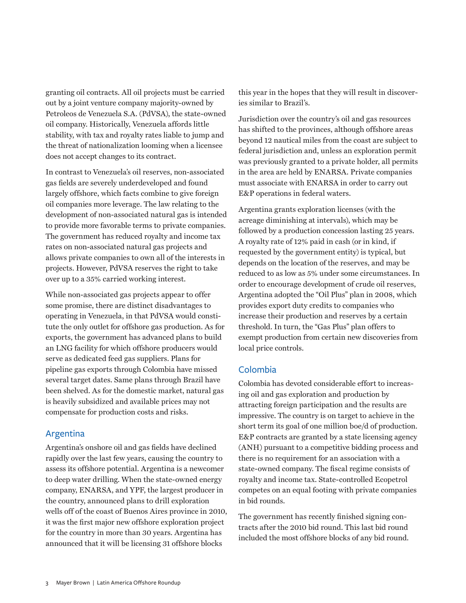granting oil contracts. All oil projects must be carried out by a joint venture company majority-owned by Petroleos de Venezuela S.A. (PdVSA), the state-owned oil company. Historically, Venezuela affords little stability, with tax and royalty rates liable to jump and the threat of nationalization looming when a licensee does not accept changes to its contract.

In contrast to Venezuela's oil reserves, non-associated gas fields are severely underdeveloped and found largely offshore, which facts combine to give foreign oil companies more leverage. The law relating to the development of non-associated natural gas is intended to provide more favorable terms to private companies. The government has reduced royalty and income tax rates on non-associated natural gas projects and allows private companies to own all of the interests in projects. However, PdVSA reserves the right to take over up to a 35% carried working interest.

While non-associated gas projects appear to offer some promise, there are distinct disadvantages to operating in Venezuela, in that PdVSA would constitute the only outlet for offshore gas production. As for exports, the government has advanced plans to build an LNG facility for which offshore producers would serve as dedicated feed gas suppliers. Plans for pipeline gas exports through Colombia have missed several target dates. Same plans through Brazil have been shelved. As for the domestic market, natural gas is heavily subsidized and available prices may not compensate for production costs and risks.

### Argentina

Argentina's onshore oil and gas fields have declined rapidly over the last few years, causing the country to assess its offshore potential. Argentina is a newcomer to deep water drilling. When the state-owned energy company, ENARSA, and YPF, the largest producer in the country, announced plans to drill exploration wells off of the coast of Buenos Aires province in 2010, it was the first major new offshore exploration project for the country in more than 30 years. Argentina has announced that it will be licensing 31 offshore blocks

this year in the hopes that they will result in discoveries similar to Brazil's.

Jurisdiction over the country's oil and gas resources has shifted to the provinces, although offshore areas beyond 12 nautical miles from the coast are subject to federal jurisdiction and, unless an exploration permit was previously granted to a private holder, all permits in the area are held by ENARSA. Private companies must associate with ENARSA in order to carry out E&P operations in federal waters.

Argentina grants exploration licenses (with the acreage diminishing at intervals), which may be followed by a production concession lasting 25 years. A royalty rate of 12% paid in cash (or in kind, if requested by the government entity) is typical, but depends on the location of the reserves, and may be reduced to as low as 5% under some circumstances. In order to encourage development of crude oil reserves, Argentina adopted the "Oil Plus" plan in 2008, which provides export duty credits to companies who increase their production and reserves by a certain threshold. In turn, the "Gas Plus" plan offers to exempt production from certain new discoveries from local price controls.

#### Colombia

Colombia has devoted considerable effort to increasing oil and gas exploration and production by attracting foreign participation and the results are impressive. The country is on target to achieve in the short term its goal of one million boe/d of production. E&P contracts are granted by a state licensing agency (ANH) pursuant to a competitive bidding process and there is no requirement for an association with a state-owned company. The fiscal regime consists of royalty and income tax. State-controlled Ecopetrol competes on an equal footing with private companies in bid rounds.

The government has recently finished signing contracts after the 2010 bid round. This last bid round included the most offshore blocks of any bid round.